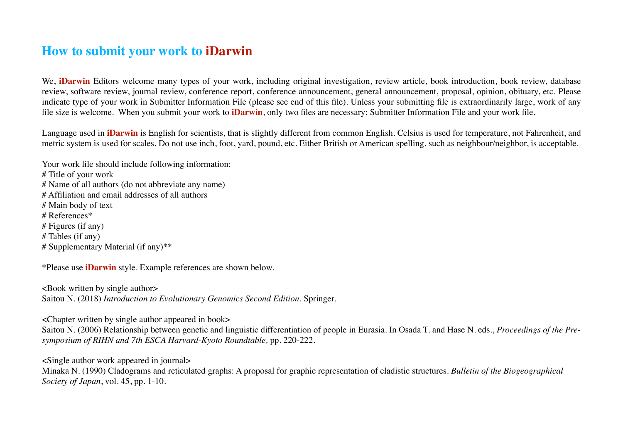# **How to submit your work to iDarwin**

We, **iDarwin** Editors welcome many types of your work, including original investigation, review article, book introduction, book review, database review, software review, journal review, conference report, conference announcement, general announcement, proposal, opinion, obituary, etc. Please indicate type of your work in Submitter Information File (please see end of this file). Unless your submitting file is extraordinarily large, work of any file size is welcome. When you submit your work to **iDarwin**, only two files are necessary: Submitter Information File and your work file.

Language used in **iDarwin** is English for scientists, that is slightly different from common English. Celsius is used for temperature, not Fahrenheit, and metric system is used for scales. Do not use inch, foot, yard, pound, etc. Either British or American spelling, such as neighbour/neighbor, is acceptable.

Your work file should include following information: # Title of your work # Name of all authors (do not abbreviate any name) # Affiliation and email addresses of all authors # Main body of text # References\* # Figures (if any) # Tables (if any) # Supplementary Material (if any)\*\*

\*Please use **iDarwin** style. Example references are shown below.

<Book written by single author> Saitou N. (2018) *Introduction to Evolutionary Genomics Second Edition*. Springer.

<Chapter written by single author appeared in book>

Saitou N. (2006) Relationship between genetic and linguistic differentiation of people in Eurasia. In Osada T. and Hase N. eds., *Proceedings of the Presymposium of RIHN and 7th ESCA Harvard-Kyoto Roundtable,* pp. 220-222.

<Single author work appeared in journal>

Minaka N. (1990) Cladograms and reticulated graphs: A proposal for graphic representation of cladistic structures. *Bulletin of the Biogeographical Society of Japan*, vol. 45, pp. 1-10.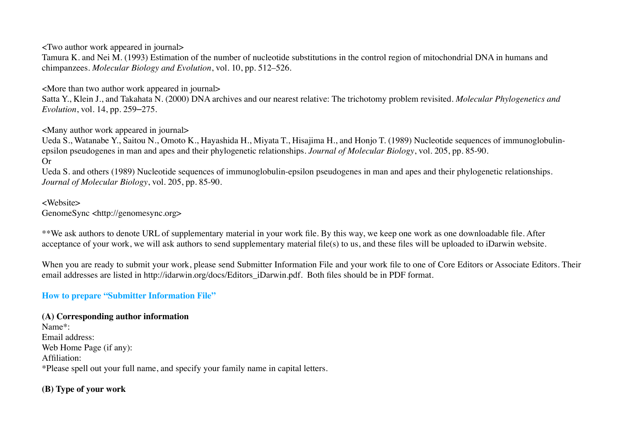<Two author work appeared in journal>

Tamura K. and Nei M. (1993) Estimation of the number of nucleotide substitutions in the control region of mitochondrial DNA in humans and chimpanzees. *Molecular Biology and Evolution*, vol. 10, pp. 512–526.

<More than two author work appeared in journal>

Satta Y., Klein J., and Takahata N. (2000) DNA archives and our nearest relative: The trichotomy problem revisited. *Molecular Phylogenetics and Evolution*, vol. 14, pp. 259–275.

<Many author work appeared in journal>

Ueda S., Watanabe Y., Saitou N., Omoto K., Hayashida H., Miyata T., Hisajima H., and Honjo T. (1989) Nucleotide sequences of immunoglobulinepsilon pseudogenes in man and apes and their phylogenetic relationships. *Journal of Molecular Biology*, vol. 205, pp. 85-90. Or

Ueda S. and others (1989) Nucleotide sequences of immunoglobulin-epsilon pseudogenes in man and apes and their phylogenetic relationships. *Journal of Molecular Biology*, vol. 205, pp. 85-90.

<Website> GenomeSync <http://genomesync.org>

\*\*We ask authors to denote URL of supplementary material in your work file. By this way, we keep one work as one downloadable file. After acceptance of your work, we will ask authors to send supplementary material file(s) to us, and these files will be uploaded to iDarwin website.

When you are ready to submit your work, please send Submitter Information File and your work file to one of Core Editors or Associate Editors. Their email addresses are listed in http://idarwin.org/docs/Editors\_iDarwin.pdf. Both files should be in PDF format.

## **How to prepare "Submitter Information File"**

## **(A) Corresponding author information**

Name\*: Email address: Web Home Page (if any): Affiliation: \*Please spell out your full name, and specify your family name in capital letters.

# **(B) Type of your work**